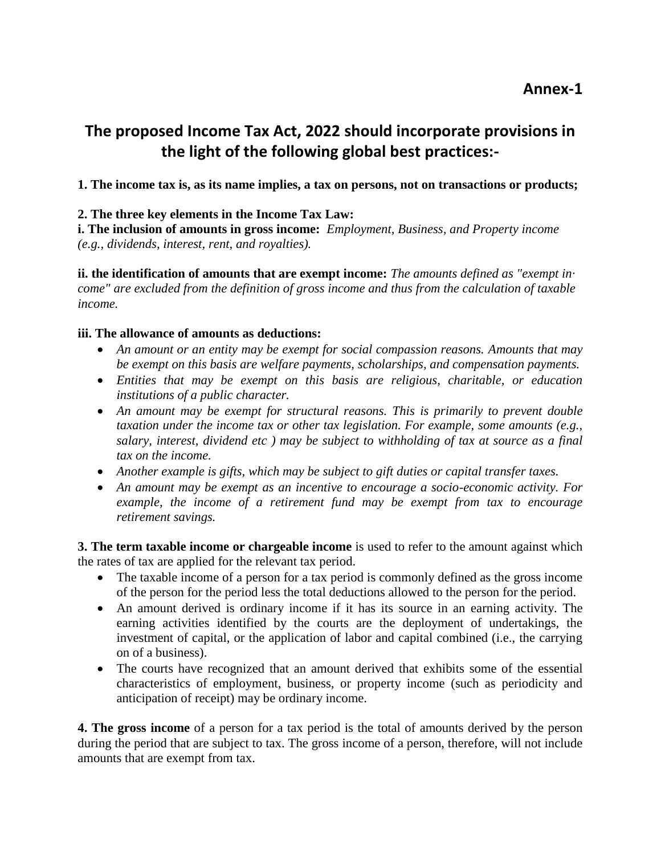# **The proposed Income Tax Act, 2022 should incorporate provisions in the light of the following global best practices:-**

**1. The income tax is, as its name implies, a tax on persons, not on transactions or products;**

### **2. The three key elements in the Income Tax Law:**

**i. The inclusion of amounts in gross income:** *Employment, Business, and Property income (e.g., dividends, interest, rent, and royalties).*

**ii. the identification of amounts that are exempt income:** *The amounts defined as "exempt in· come" are excluded from the definition of gross income and thus from the calculation of taxable income.* 

### **iii. The allowance of amounts as deductions:**

- *An amount or an entity may be exempt for social compassion reasons. Amounts that may be exempt on this basis are welfare payments, scholarships, and compensation payments.*
- *Entities that may be exempt on this basis are religious, charitable, or education institutions of a public character.*
- *An amount may be exempt for structural reasons. This is primarily to prevent double taxation under the income tax or other tax legislation. For example, some amounts (e.g., salary, interest, dividend etc ) may be subject to withholding of tax at source as a final tax on the income.*
- *Another example is gifts, which may be subject to gift duties or capital transfer taxes.*
- *An amount may be exempt as an incentive to encourage a socio-economic activity. For example, the income of a retirement fund may be exempt from tax to encourage retirement savings.*

**3. The term taxable income or chargeable income** is used to refer to the amount against which the rates of tax are applied for the relevant tax period.

- The taxable income of a person for a tax period is commonly defined as the gross income of the person for the period less the total deductions allowed to the person for the period.
- An amount derived is ordinary income if it has its source in an earning activity. The earning activities identified by the courts are the deployment of undertakings, the investment of capital, or the application of labor and capital combined (i.e., the carrying on of a business).
- The courts have recognized that an amount derived that exhibits some of the essential characteristics of employment, business, or property income (such as periodicity and anticipation of receipt) may be ordinary income.

**4. The gross income** of a person for a tax period is the total of amounts derived by the person during the period that are subject to tax. The gross income of a person, therefore, will not include amounts that are exempt from tax.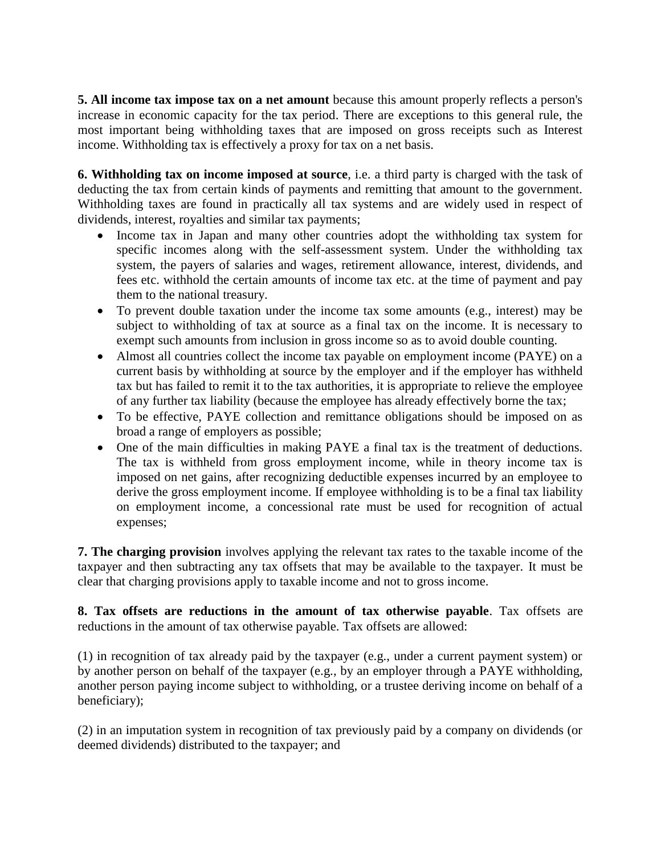**5. All income tax impose tax on a net amount** because this amount properly reflects a person's increase in economic capacity for the tax period. There are exceptions to this general rule, the most important being withholding taxes that are imposed on gross receipts such as Interest income. Withholding tax is effectively a proxy for tax on a net basis.

**6. Withholding tax on income imposed at source**, i.e. a third party is charged with the task of deducting the tax from certain kinds of payments and remitting that amount to the government. Withholding taxes are found in practically all tax systems and are widely used in respect of dividends, interest, royalties and similar tax payments;

- Income tax in Japan and many other countries adopt the withholding tax system for specific incomes along with the self-assessment system. Under the withholding tax system, the payers of salaries and wages, retirement allowance, interest, dividends, and fees etc. withhold the certain amounts of income tax etc. at the time of payment and pay them to the national treasury.
- To prevent double taxation under the income tax some amounts (e.g., interest) may be subject to withholding of tax at source as a final tax on the income. It is necessary to exempt such amounts from inclusion in gross income so as to avoid double counting.
- Almost all countries collect the income tax payable on employment income (PAYE) on a current basis by withholding at source by the employer and if the employer has withheld tax but has failed to remit it to the tax authorities, it is appropriate to relieve the employee of any further tax liability (because the employee has already effectively borne the tax;
- To be effective, PAYE collection and remittance obligations should be imposed on as broad a range of employers as possible;
- One of the main difficulties in making PAYE a final tax is the treatment of deductions. The tax is withheld from gross employment income, while in theory income tax is imposed on net gains, after recognizing deductible expenses incurred by an employee to derive the gross employment income. If employee withholding is to be a final tax liability on employment income, a concessional rate must be used for recognition of actual expenses;

**7. The charging provision** involves applying the relevant tax rates to the taxable income of the taxpayer and then subtracting any tax offsets that may be available to the taxpayer. It must be clear that charging provisions apply to taxable income and not to gross income.

**8. Tax offsets are reductions in the amount of tax otherwise payable**. Tax offsets are reductions in the amount of tax otherwise payable. Tax offsets are allowed:

(1) in recognition of tax already paid by the taxpayer (e.g., under a current payment system) or by another person on behalf of the taxpayer (e.g., by an employer through a PAYE withholding, another person paying income subject to withholding, or a trustee deriving income on behalf of a beneficiary);

(2) in an imputation system in recognition of tax previously paid by a company on dividends (or deemed dividends) distributed to the taxpayer; and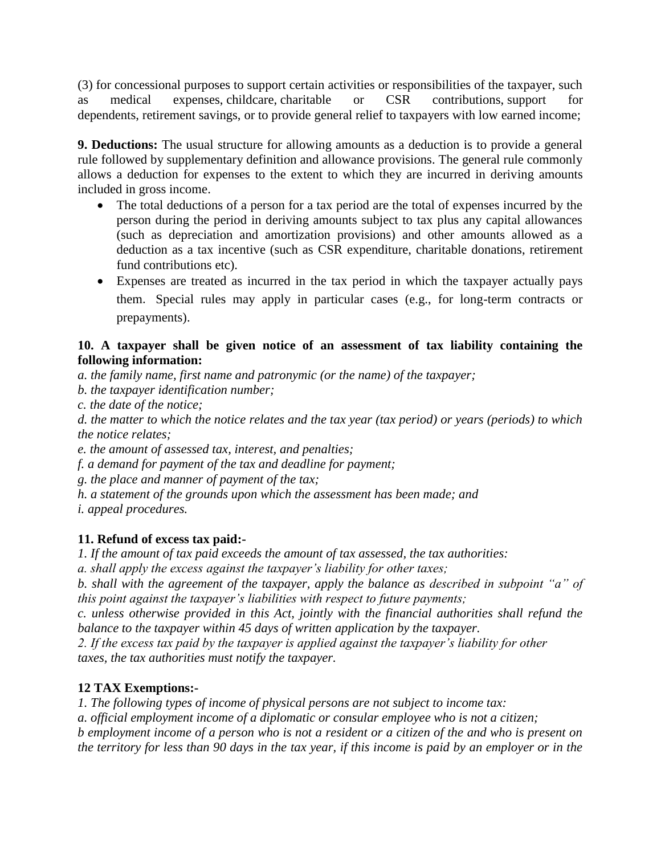(3) for concessional purposes to support certain activities or responsibilities of the taxpayer, such as medical expenses, childcare, charitable or CSR contributions, support for dependents, retirement savings, or to provide general relief to taxpayers with low earned income;

**9. Deductions:** The usual structure for allowing amounts as a deduction is to provide a general rule followed by supplementary definition and allowance provisions. The general rule commonly allows a deduction for expenses to the extent to which they are incurred in deriving amounts included in gross income.

- The total deductions of a person for a tax period are the total of expenses incurred by the person during the period in deriving amounts subject to tax plus any capital allowances (such as depreciation and amortization provisions) and other amounts allowed as a deduction as a tax incentive (such as CSR expenditure, charitable donations, retirement fund contributions etc).
- Expenses are treated as incurred in the tax period in which the taxpayer actually pays them. Special rules may apply in particular cases (e.g., for long-term contracts or prepayments).

## **10. A taxpayer shall be given notice of an assessment of tax liability containing the following information:**

*a. the family name, first name and patronymic (or the name) of the taxpayer;*

*b. the taxpayer identification number;*

*c. the date of the notice;*

*d. the matter to which the notice relates and the tax year (tax period) or years (periods) to which the notice relates;*

*e. the amount of assessed tax, interest, and penalties;*

*f. a demand for payment of the tax and deadline for payment;*

*g. the place and manner of payment of the tax;*

*h. a statement of the grounds upon which the assessment has been made; and*

*i. appeal procedures.*

# **11. Refund of excess tax paid:-**

*1. If the amount of tax paid exceeds the amount of tax assessed, the tax authorities:*

*a. shall apply the excess against the taxpayer's liability for other taxes;*

*b. shall with the agreement of the taxpayer, apply the balance as described in subpoint "a" of this point against the taxpayer's liabilities with respect to future payments;*

*c. unless otherwise provided in this Act, jointly with the financial authorities shall refund the balance to the taxpayer within 45 days of written application by the taxpayer.* 

*2. If the excess tax paid by the taxpayer is applied against the taxpayer's liability for other taxes, the tax authorities must notify the taxpayer.*

# **12 TAX Exemptions:-**

*1. The following types of income of physical persons are not subject to income tax:*

*a. official employment income of a diplomatic or consular employee who is not a citizen;*

*b employment income of a person who is not a resident or a citizen of the and who is present on the territory for less than 90 days in the tax year, if this income is paid by an employer or in the*